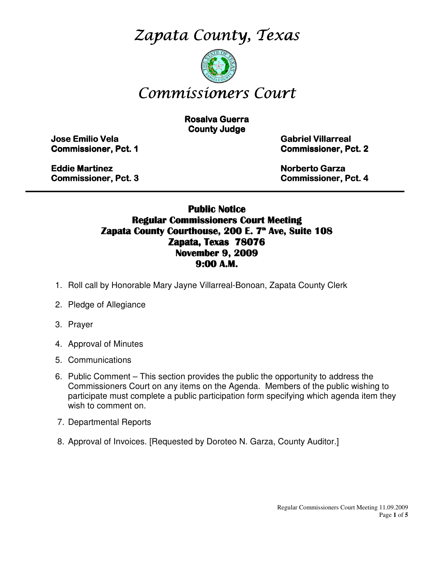Zapata County, Texas



# Commissioners Court

**Rosalva Guerra County Judge** 

Jose Emilio Vela Emilio Vela Vela Gabriel Villarreal Villarreal Villarreal

**Commissioner, Pct. 1 Commissioner, Pct. 2** 

Eddie Martinez **Eddie Martinez** Norberto Garza Garza Garza Garza Garza Garza Garza Garza Garza Garza Garza Garza Garza Garza Garza Garza Garza Garza Garza Garza Garza Garza Garza Garza Garza Garza Garza Garza Garza Garza G

Commissioner, Pct. 3 3 Commissioner, Pct. 4

#### Public Notice Regular Commissioners Court Meeting Zapata County Courthouse, 200 E. 7<sup>th</sup> Ave, Suite 108 Zapata, Texas 78076 November 9, 2009 9:00 A.M.

\_\_\_\_\_\_\_\_\_\_\_\_\_\_\_\_\_\_\_\_\_\_\_\_\_\_\_\_\_\_\_\_\_\_\_\_\_\_\_\_\_\_\_\_\_\_\_\_\_\_\_\_\_\_\_\_\_\_\_\_\_\_\_\_\_\_\_\_\_\_\_\_\_\_\_\_\_\_\_\_\_\_\_\_\_\_\_\_\_

- 1. Roll call by Honorable Mary Jayne Villarreal-Bonoan, Zapata County Clerk
- 2. Pledge of Allegiance
- 3. Prayer
- 4. Approval of Minutes
- 5. Communications
- 6. Public Comment This section provides the public the opportunity to address the Commissioners Court on any items on the Agenda. Members of the public wishing to participate must complete a public participation form specifying which agenda item they wish to comment on.
- 7. Departmental Reports
- 8. Approval of Invoices. [Requested by Doroteo N. Garza, County Auditor.]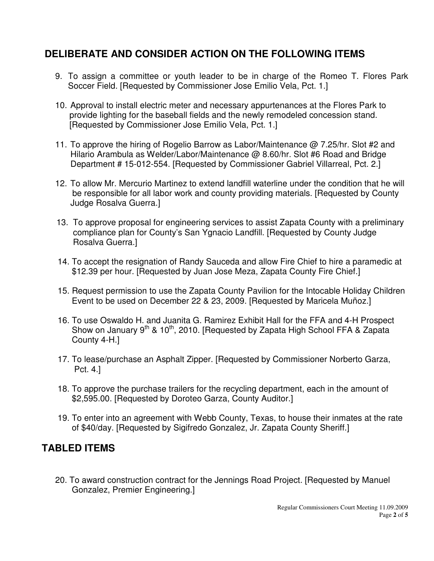### **DELIBERATE AND CONSIDER ACTION ON THE FOLLOWING ITEMS**

- 9. To assign a committee or youth leader to be in charge of the Romeo T. Flores Park Soccer Field. [Requested by Commissioner Jose Emilio Vela, Pct. 1.]
- 10. Approval to install electric meter and necessary appurtenances at the Flores Park to provide lighting for the baseball fields and the newly remodeled concession stand. [Requested by Commissioner Jose Emilio Vela, Pct. 1.]
- 11. To approve the hiring of Rogelio Barrow as Labor/Maintenance @ 7.25/hr. Slot #2 and Hilario Arambula as Welder/Labor/Maintenance @ 8.60/hr. Slot #6 Road and Bridge Department # 15-012-554. [Requested by Commissioner Gabriel Villarreal, Pct. 2.]
- 12. To allow Mr. Mercurio Martinez to extend landfill waterline under the condition that he will be responsible for all labor work and county providing materials. [Requested by County Judge Rosalva Guerra.]
- 13. To approve proposal for engineering services to assist Zapata County with a preliminary compliance plan for County's San Ygnacio Landfill. [Requested by County Judge Rosalva Guerra.]
- 14. To accept the resignation of Randy Sauceda and allow Fire Chief to hire a paramedic at \$12.39 per hour. [Requested by Juan Jose Meza, Zapata County Fire Chief.]
- 15. Request permission to use the Zapata County Pavilion for the Intocable Holiday Children Event to be used on December 22 & 23, 2009. [Requested by Maricela Muñoz.]
- 16. To use Oswaldo H. and Juanita G. Ramirez Exhibit Hall for the FFA and 4-H Prospect Show on January  $9<sup>th</sup>$  & 10<sup>th</sup>, 2010. [Requested by Zapata High School FFA & Zapata County 4-H.]
- 17. To lease/purchase an Asphalt Zipper. [Requested by Commissioner Norberto Garza, Pct. 4.]
- 18. To approve the purchase trailers for the recycling department, each in the amount of \$2,595.00. [Requested by Doroteo Garza, County Auditor.]
- 19. To enter into an agreement with Webb County, Texas, to house their inmates at the rate of \$40/day. [Requested by Sigifredo Gonzalez, Jr. Zapata County Sheriff.]

### **TABLED ITEMS**

20. To award construction contract for the Jennings Road Project. [Requested by Manuel Gonzalez, Premier Engineering.]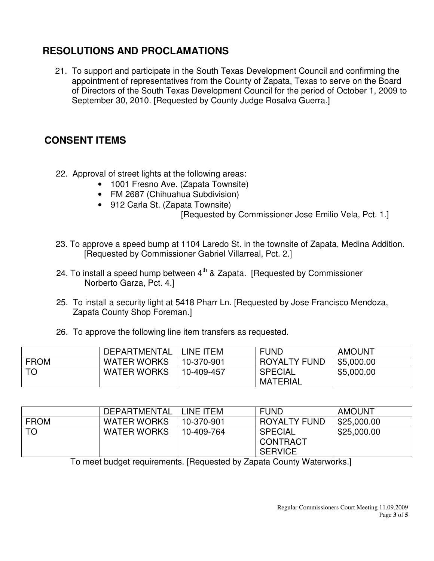### **RESOLUTIONS AND PROCLAMATIONS**

21. To support and participate in the South Texas Development Council and confirming the appointment of representatives from the County of Zapata, Texas to serve on the Board of Directors of the South Texas Development Council for the period of October 1, 2009 to September 30, 2010. [Requested by County Judge Rosalva Guerra.]

### **CONSENT ITEMS**

- 22. Approval of street lights at the following areas:
	- 1001 Fresno Ave. (Zapata Townsite)
	- FM 2687 (Chihuahua Subdivision)
	- 912 Carla St. (Zapata Townsite)

[Requested by Commissioner Jose Emilio Vela, Pct. 1.]

- 23. To approve a speed bump at 1104 Laredo St. in the townsite of Zapata, Medina Addition. [Requested by Commissioner Gabriel Villarreal, Pct. 2.]
- 24. To install a speed hump between  $4<sup>th</sup>$  & Zapata. [Requested by Commissioner Norberto Garza, Pct. 4.]
- 25. To install a security light at 5418 Pharr Ln. [Requested by Jose Francisco Mendoza, Zapata County Shop Foreman.]
- 26. To approve the following line item transfers as requested.

|             | <b>DEPARTMENTAL</b> | INE ITEM-  | <b>FUND</b>                       | <b>AMOUNT</b> |
|-------------|---------------------|------------|-----------------------------------|---------------|
| <b>FROM</b> | <b>WATER WORKS</b>  | 10-370-901 | <b>ROYALTY FUND</b>               | \$5,000.00    |
| <b>TO</b>   | <b>WATER WORKS</b>  | 10-409-457 | <b>SPECIAL</b><br><b>MATERIAL</b> | \$5,000.00    |

|             | DEPARTMENTAL       | LINE ITEM  | <b>FUND</b>                                  | <b>AMOUNT</b> |
|-------------|--------------------|------------|----------------------------------------------|---------------|
| <b>FROM</b> | <b>WATER WORKS</b> | 10-370-901 | ROYALTY FUND                                 | \$25,000.00   |
| . TO        | <b>WATER WORKS</b> | 10-409-764 | <b>SPECIAL</b><br>CONTRACT<br><b>SERVICE</b> | \$25,000.00   |

To meet budget requirements. [Requested by Zapata County Waterworks.]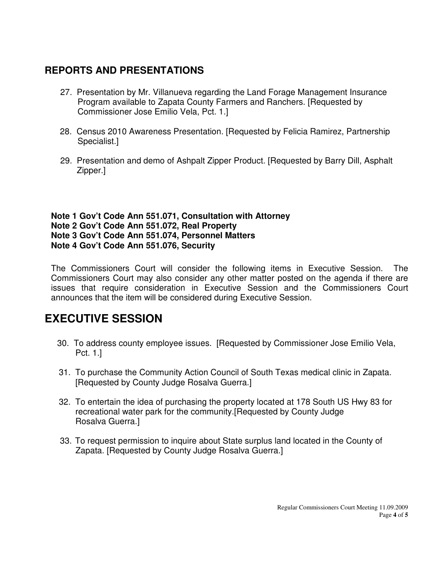### **REPORTS AND PRESENTATIONS**

- 27. Presentation by Mr. Villanueva regarding the Land Forage Management Insurance Program available to Zapata County Farmers and Ranchers. [Requested by Commissioner Jose Emilio Vela, Pct. 1.]
- 28. Census 2010 Awareness Presentation. [Requested by Felicia Ramirez, Partnership Specialist.]
- 29. Presentation and demo of Ashpalt Zipper Product. [Requested by Barry Dill, Asphalt Zipper.]

**Note 1 Gov't Code Ann 551.071, Consultation with Attorney Note 2 Gov't Code Ann 551.072, Real Property Note 3 Gov't Code Ann 551.074, Personnel Matters Note 4 Gov't Code Ann 551.076, Security** 

The Commissioners Court will consider the following items in Executive Session. The Commissioners Court may also consider any other matter posted on the agenda if there are issues that require consideration in Executive Session and the Commissioners Court announces that the item will be considered during Executive Session.

## **EXECUTIVE SESSION**

- 30. To address county employee issues. [Requested by Commissioner Jose Emilio Vela, Pct. 1.]
- 31. To purchase the Community Action Council of South Texas medical clinic in Zapata. [Requested by County Judge Rosalva Guerra.]
- 32. To entertain the idea of purchasing the property located at 178 South US Hwy 83 for recreational water park for the community.[Requested by County Judge Rosalva Guerra.]
- 33. To request permission to inquire about State surplus land located in the County of Zapata. [Requested by County Judge Rosalva Guerra.]